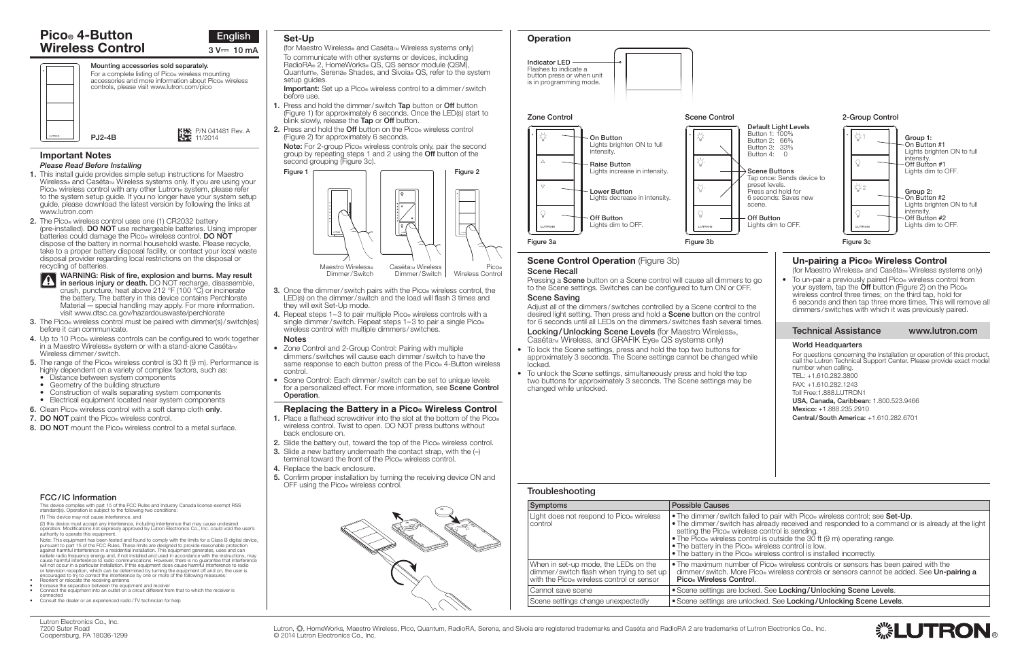

| Symptoms                                                                                                                       | <b>Possible Causes</b>                                                                                                                                                          |
|--------------------------------------------------------------------------------------------------------------------------------|---------------------------------------------------------------------------------------------------------------------------------------------------------------------------------|
| Light does not respond to Pico. wireless<br>control                                                                            | • The dimmer/switch faile<br>• The dimmer/switch has<br>setting the Pico® wireless<br>• The Pico® wireless contro<br>• The battery in the Pico® \<br>. The battery in the Pico® |
| When in set-up mode, the LEDs on the<br>dimmer/switch flash when trying to set up<br>with the Pico® wireless control or sensor | • The maximum number of<br>dimmer/switch, More Pi<br>Pico <sup>®</sup> Wireless Control.                                                                                        |
| Cannot save scene                                                                                                              | • Scene settings are locke                                                                                                                                                      |
| Scene settings change unexpectedly                                                                                             | • Scene settings are unloc                                                                                                                                                      |

#### Important Notes *Please Read Before Installing*

WARNING: Risk of fire, explosion and burns. May result **1** WANNING. NISK OF THE, EXPROSION and During. May result in serious injury or death. DO NOT recharge, disassemble, crush, puncture, heat above 212 °F (100 °C) or incinerate the battery. The battery in this device contains Perchlorate Material — special handling may apply. For more information. visit www.dtsc.ca.gov/hazardouswaste/perchlorate

- 3. The Pico® wireless control must be paired with dimmer(s)/switch(es) before it can communicate.
- 4. Up to 10 Pico<sup>®</sup> wireless controls can be configured to work together in a Maestro Wireless® system or with a stand-alone Caséta $\frac{1}{N}$ Wireless dimmer/ switch.
- 5. The range of the Pico® wireless control is 30 ft (9 m). Performance is highly dependent on a variety of complex factors, such as:
- Distance between system components
- Geometry of the building structure
- Construction of walls separating system components
- Electrical equipment located near system components
- 6. Clean Pico<sup>®</sup> wireless control with a soft damp cloth only.
- 7. DO NOT paint the Pico® wireless control.
- 8. DO NOT mount the Pico<sup>®</sup> wireless control to a metal surface.
- 1. This install guide provides simple setup instructions for Maestro Wireless<sup>®</sup> and Caséta<sub>™</sub> Wireless systems only. If you are using your Pico® wireless control with any other Lutron® system, please refer to the system setup guide. If you no longer have your system setup guide, please download the latest version by following the links at www.lutron.com
- 2. The Pico® wireless control uses one (1) CR2032 battery (pre-installed). DO NOT use rechargeable batteries. Using improper  $\overline{b}$ atteries could damage the Pico. wireless control. **DO NOT** dispose of the battery in normal household waste. Please recycle, take to a proper battery disposal facility, or contact your local waste disposal provider regarding local restrictions on the disposal or recycling of batteries.

#### Scene Control Operation (Figure 3b) Scene Recall

Pressing a **Scene** button on a Scene control will cause all dimmers to to the Scene settings. Switches can be configured to turn ON or OFF.

- To lock the Scene settings, press and hold the top two buttons for approximately 3 seconds. The Scene settings cannot be changed while locked.
- To unlock the Scene settings, simultaneously press and hold the top two buttons for approximately 3 seconds. The Scene settings may be changed while unlocked.

| modplearioomig |
|----------------|
| Symptoms       |
|                |

**Troubleshooting** 

| Button 1: 100%<br>Button 2: 66%<br>Button 3: 33%<br>Button 4:<br>Scene Buttons<br>preset levels.<br>Press and hold for<br>scene.<br>Off Button<br>Lights dim to OFF. | 2-Group Control<br>Default Light Levels<br>$\breve{\heartsuit}$ :1<br>Group 1:<br>On Button #1<br>Lights brighten ON to full<br>$\Omega$<br>intensity.<br>Q<br>Off Button #1<br>Lights dim to OFF.<br>Tap once: Sends device to<br><b>☆2</b><br>Group 2:<br>6 seconds: Saves new<br>On Button #2<br>Lights brighten ON to full<br>intensity.<br>V<br>Off Button #2<br>Lights dim to OFF.<br><b>LUTRON</b><br>Figure 3c                                                                                                |  |  |  |
|----------------------------------------------------------------------------------------------------------------------------------------------------------------------|-----------------------------------------------------------------------------------------------------------------------------------------------------------------------------------------------------------------------------------------------------------------------------------------------------------------------------------------------------------------------------------------------------------------------------------------------------------------------------------------------------------------------|--|--|--|
| o go<br>the<br>ntrol<br>mes.                                                                                                                                         | Un-pairing a Pico <sup>®</sup> Wireless Control<br>(for Maestro Wireless® and Caséta™ Wireless systems only)<br>To un-pair a previously paired Pico <sup>®</sup> wireless control from<br>your system, tap the Off button (Figure 2) on the Pico.<br>wireless control three times; on the third tap, hold for<br>6 seconds and then tap three more times. This will remove all<br>dimmers/switches with which it was previously paired.<br><b>Technical Assistance</b><br>www.lutron.com<br><b>World Headquarters</b> |  |  |  |
| hile<br>е                                                                                                                                                            | For questions concerning the installation or operation of this product,<br>call the Lutron Technical Support Center. Please provide exact model<br>number when calling.<br>TEL: +1.610.282.3800<br>FAX: +1.610.282.1243<br>Toll Free: 1.888. LUTRON1<br>USA, Canada, Caribbean: 1.800.523.9466<br>Mexico: +1.888.235.2910<br>Central/South America: +1.610.282.6701                                                                                                                                                   |  |  |  |

led to pair with Pico® wireless control; see **Set-Up**.<br>Is already received and responded to a command or is already at the light<br>Iss control is sending trol is outside the 30 ft (9 m) operating range.<br>» wireless control is low. **vireless control is installed incorrectly.** 

of Pico® wireless controls or sensors has been paired with the Pico® wireless controls or sensors cannot be added. See Un-pairing a

#### ed. See Locking/Unlocking Scene Levels. ocked. See Locking/Unlocking Scene Levels.

Lutron, .\* HomeWorks, Maestro Wireless, Pico, Quantum, RadioRA, Serena, and Sivoia are registered trademarks and Caséta and RadioRA 2 are trademarks of Lutron Electronics Co., Inc. © 2014 Lutron Electronics Co., Inc.

# Pico® 4-Button Wireless Control  $3 \sqrt{m}$  10 mA

Important: Set up a Pico® wireless control to a dimmer/ switch before use.

- 1. Press and hold the dimmer/ switch Tap button or Off button (Figure 1) for approximately 6 seconds. Once the LED(s) start to blink slowly, release the Tap or Off button.
- 2. Press and hold the Off button on the Pico® wireless control (Figure 2) for approximately 6 seconds.

Note: For 2-group Pico® wireless controls only, pair the second group by repeating steps 1 and 2 using the Off button of the second grouping (Figure 3c).

### Scene Saving

Adjust all of the dimmers/switches controlled by a Scene control to the desired light setting. Then press and hold a **Scene** button on the containfor 6 seconds until all LEDs on the dimmers/switches flash several times.

Locking/Unlocking Scene Levels (for Maestro Wireless®, Caséta<sub>™</sub> Wireless, and GRAFIK Eye® QS systems only)

Note: This equipment has been tested and found to comply with the limits for a Class B digital device,<br>pursuant to part 15 of the FCC Rules. These limits are designed to provide reasonable protection<br>against harmful interf or television reception, which can be determined by turning the equipment off and on, the user is

- 
- 

or couraged to try to correct the interference by one or more of the following measures:<br>Reorient or relocate the receiving antenna<br>Reorient or relocate the receiving antenna<br>Increase the separation between the equipment a

Mounting accessories sold separately. For a complete listing of Pico® wireless mounting accessories and more information about Pico® wireless controls, please visit www.lutron.com/pico





# Set-Up

(for Maestro Wireless® and Caséta $\mathbb{M}$  Wireless systems only) To communicate with other systems or devices, including RadioRA® 2, HomeWorks® QS, QS sensor module (QSM), Quantum®, Serena® Shades, and Sivoia® QS, refer to the system setup quides.

- Zone Control and 2-Group Control: Pairing with multiple dimmers / switches will cause each dimmer/ switch to have the same response to each button press of the Pico® 4-Button wireless control.
- Scene Control: Each dimmer/ switch can be set to unique levels for a personalized effect. For more information, see **Scene Control** Operation.

### Replacing the Battery in a Pico® Wireless Control

- 1. Place a flathead screwdriver into the slot at the bottom of the Pico® wireless control. Twist to open. DO NOT press buttons without back enclosure on.
- 2. Slide the battery out, toward the top of the Pico<sup>®</sup> wireless control.
- **3.** Slide a new battery underneath the contact strap, with the  $(-)$ terminal toward the front of the Pico® wireless control.
- 4. Replace the back enclosure.
- 5. Confirm proper installation by turning the receiving device ON and OFF using the Pico® wireless control.



# **Operation**

P/N 041481 Rev. A 11/2014

# FCC/IC Information

This device complies with part 15 of the FCC Rules and Industry Canada license-exempt RSS standard(s). Operation is subject to the following two conditions: (1) This device may not cause interference, and

(2) this device must accept any interference, including interference that may cause undesired operation. Modifications not expressly approved by Lutron Electronics Co., Inc. could void the user's authority to operate this equipment.



connected • Consult the dealer or an experienced radio/TV technician for help



- **3.** Once the dimmer/ switch pairs with the Pico<sup>®</sup> wireless control, the LED(s) on the dimmer/ switch and the load will flash 3 times and they will exit Set-Up mode.
- 4. Repeat steps 1–3 to pair multiple Pico<sup>®</sup> wireless controls with a single dimmer/ switch. Repeat steps 1–3 to pair a single Pico. wireless control with multiple dimmers / switches. **Notes**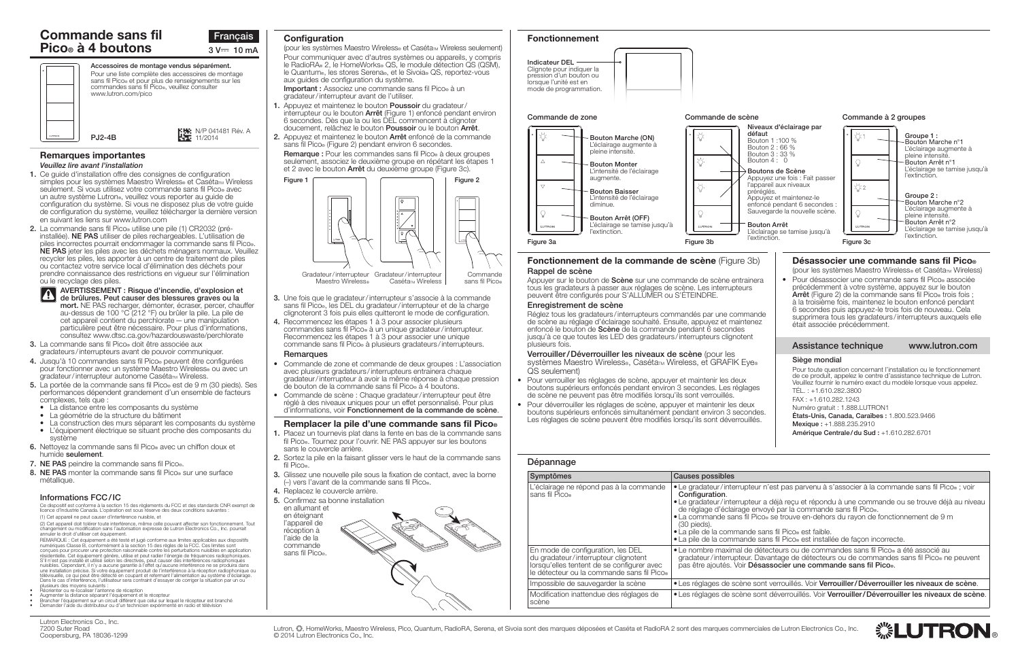

# Dépannage Symptômes Causes possibles L'éclairage ne répond pas à la commande sans fil Pico® (30 pieds).<br>∙La pile de la commande sans fil Pico® est faible. En mode de configuration, les DEL du gradateur/interrupteur clignotent lorsqu'elles tentent de se configurer avec le détecteur ou la commande sans fil Pico® Impossible de sauvegarder la scène  $\cdot$  les réglages de scène sont verrouillés. Voir Verrouiller/Déverrouiller les niveaux de scène. Modification inattendue des réglages de scène

• Les réglages de scène sont déverrouillés. Voir Verrouiller/Déverrouiller les niveaux de scène.



#### Remarques importantes *Veuillez lire avant l'installation*

- consultez <www.dtsc.ca.gov/hazardouswaste/perchlorate> 3. La commande sans fil Pico® doit être associée aux
- gradateurs /interrupteurs avant de pouvoir communiquer. 4. Jusqu'à 10 commandes sans fil Pico® peuvent être configurées
- pour fonctionner avec un système Maestro Wireless® ou avec un oradateur/interrupteur autonome Caséta<sub>™</sub> Wireless.
- 5. La portée de la commande sans fil Pico® est de 9 m (30 pieds). Ses performances dépendent grandement d'un ensemble de facteurs complexes, tels que :
- La distance entre les composants du système<br>• La géométrie de la structure du bâtiment
- 
- La construction des murs séparant les composants du système<br>• L'équipement électrique se situant proche des composants du système
- 6. Nettoyez la commande sans fil Pico® avec un chiffon doux et humide seulement.
- 7. NE PAS peindre la commande sans fil Pico®.
- 8. NE PAS monter la commande sans fil Pico® sur une surface métallique.
- 1. Ce guide d'installation offre des consignes de configuration simples pour les systèmes Maestro Wireless® et Caséta<sub>™</sub> Wireless seulement. Si vous utilisez votre commande sans fil Pico® avec un autre système Lutron®, veuillez vous reporter au guide de configuration du système. Si vous ne disposez plus de votre guide de configuration du système, veuillez télécharger la dernière version en suivant les liens sur www.lutron.com
- 2. La commande sans fil Pico® utilise une pile (1) CR2032 (préinstallée). NE PAS utiliser de piles rechargeables. L'utilisation de piles incorrectes pourrait endommager la commande sans fil Pico®. NE PAS jeter les piles avec les déchets ménagers normaux. Veuillez recycler les piles, les apporter à un centre de traitement de piles ou contactez votre service local d'élimination des déchets pour prendre connaissance des restrictions en vigueur sur l'élimination ou le recyclage des piles.

Lutron, . homeWorks, Maestro Wireless, Pico, Quantum, RadioRA, Serena, et Sivoia sont des marques déposées et Caséta et RadioRA 2 sont des marques commerciales de Lutron Electronics Co., Inc. © 2014 Lutron Electronics Co., Inc.

# Commande sans fil Pico® à 4 boutons  $3 \sqrt{m} = 10 \text{ mA}$

(pour les systèmes Maestro Wireless<sup>®</sup> et Caséta<sub>™</sub> Wireless seulement) Pour communiquer avec d'autres systèmes ou appareils, y compris le RadioRA® 2, le HomeWorks® QS, le module détection QS (QSM), le Quantum®, les stores Serena®, et le Sivoia® QS, reportez-vous aux guides de configuration du système.

#### AVERTISSEMENT : Risque d'incendie, d'explosion et de brûlures. Peut causer des blessures graves ou la mort. NE PAS recharger, démonter, écraser, percer, chauffer au-dessus de 100 °C (212 °F) ou brûler la pile. La pile de cet appareil contient du perchlorate—une manipulation particulière peut être nécessaire. Pour plus d'informations,

Lutron Electronics Co., Inc. 7200 Suter Road Coopersburg, PA 18036-1299 • Le gradateur/interrupteur n'est pas parvenu à s'associer à la commande sans fil Pico® ; voir Configuration.

• Le gradateur/interrupteur a déjà reçu et répondu à une commande ou se trouve déjà au niveau de réglage d'éclairage envoyé par la commande sans fil Pico®.<br>• La commande sans fil Pico® se trouve en-dehors du rayon de fonctionnement de 9 m

• La pile de la commande sans fil Pico® est installée de facon incorrecte.

• Le nombre maximal de détecteurs ou de commandes sans fil Pico® a été associé au gradateur/interrupteur. Davantage de détecteurs ou de commandes sans fil Pico® ne peuvent pas être ajoutés. Voir Désassocier une commande sans fil Pico.



Important : Associez une commande sans fil Pico® à un gradateur/interrupteur avant de l'utiliser.

- 1. Appuyez et maintenez le bouton Poussoir du gradateur/ interrupteur ou le bouton **Arrêt** (Figure 1) enfoncé pendant environ 6 secondes. Dès que la ou les DEL commencent à clignoter doucement, relâchez le bouton Poussoir ou le bouton Arrêt.
- 2. Appuyez et maintenez le bouton Arrêt enfoncé de la commande sans fil Pico® (Figure 2) pendant environ 6 secondes. Remarque : Pour les commandes sans fil Pico® à deux groupes seulement, associez le deuxième groupe en répétant les étapes 1 et 2 avec le bouton **Arrêt** du deuxième groupe (Figure 3c).

- 3. Une fois que le gradateur/interrupteur s'associe à la commande sans fil Pico®, les DEL du gradateur/interrupteur et de la charge clignoteront 3 fois puis elles quitteront le mode de configuration.
- 4. Recommencez les étapes 1 à 3 pour associer plusieurs commandes sans fil Pico® à un unique gradateur/interrupteur. Recommencez les étapes 1 à 3 pour associer une unique commande sans fil Pico® à plusieurs gradateurs /interrupteurs.

## **Remarques**



- Commande de zone et commande de deux groupes : L'association avec plusieurs gradateurs /interrupteurs entrainera chaque gradateur/interrupteur à avoir la même réponse à chaque pression de bouton de la commande sans fil Pico® à 4 boutons.
- Commande de scène : Chaque gradateur/interrupteur peut être réglé à des niveaux uniques pour un effet personnalisé. Pour plus d'informations, voir Fonctionnement de la commande de scène.

### Remplacer la pile d'une commande sans fil Pico®

- 1. Placez un tournevis plat dans la fente en bas de la commande sans fil Pico®. Tournez pour l'ouvrir. NE PAS appuyer sur les boutons sans le couvercle arrière.
- 2. Sortez la pile en la faisant glisser vers le haut de la commande sans fil Pico®.
- 3. Glissez une nouvelle pile sous la fixation de contact, avec la borne (–) vers l'avant de la commande sans fil Pico®.
- 4. Replacez le couvercle arrière.
- 5. Confirmez sa bonne installation



# Configuration **Fonctionnement Fonctionnement**



# Informations FCC/IC

Ce dispositif est conforme à la section 15 des règlements du FCC et des standards CNR exempt de licence d'Industrie Canada. L'opération est sous réserve des deux conditions suivantes : (1) Cet appareil ne peut causer d'interférence nuisible, et

(2) Cet appareil doit tolérer toute interférence, même celle pouvant affecter son fonctionnement. Tout changement ou modification sans l'autorisation expresse de Lutron Electronics Co., Inc. pourrait annuler le droit d'utiliser cet équipement.

REMARQUE : Cet équipement a été testé et jugé conforme aux limites applicables aux dispositifs numériques Classe B, conformément à la section 15 des règles de la FCC. Ces limites sont conçues pour procurer une protection raisonnable contre les perturbations nuisibles en application résidentielle. Cet équipement génère, utilise et peut radier l'énergie de fréquences radiophoniques.<br>S'il n'est pas installé et utilisé selon les directives, peut causer des interférences radiophoniques<br>nuisibles. Cependan une installation précise. Si votre équipement produit de l'interférence à la réception radiophonique ou télévisuelle, ce qui peut être détecté en coupant et refermant l'alimentation au système d'éclairage. Dans le cas d'interférence, l'utilisateur sera contraint d'essayer de corriger la situation par un ou

- 
- 
- plusieurs des moyens suivants :<br>Réorienter ou re-localiser l'antenne de réception<br>Augmenter la distance séparant l'équipement et le récepteur<br>Brancher l'équipement sur un circuit différent que celui sur lequel le récepteur

#### Commande à 2 groupes Niveaux d'éclairage par défaut Groupe 1 : Bouton 1 :100 % Bouton Marche n°1 Bouton 2 : 66 % L'éclairage augmente à Bouton 3 : 33 % pleine intensité. Bouton 4 : 0 Bouton Arrêt n°1 L'éclairage se tamise jusqu'à Boutons de Scène l'extinction. Appuyez une fois : Fait passer l'appareil aux niveaux ำั: 2 préréglés. Groupe 2 : Appuyez et maintenez-le Bouton Marche n°2 enfoncé pendant 6 secondes : L'éclairage augmente à Sauvegarde la nouvelle scène. pleine intensité. Bouton Arrêt n°2 L'éclairage se tamise jusqu'à Bouton Arrêt L'éclairage se tamise jusqu'à l'extinction. L'éclairage se tamise jusqu'à l'extinction. l'extinction. Figure 3a **Figure 3c** Figure 3c Figure 3c Figure 3c Figure 3c Figure 3c Figure 3c Fonctionnement de la commande de scène (Figure 3b) Désassocier une commande sans fil Pico® Rappel de scène (pour les systèmes Maestro Wireless® et Caséta™ Wireless) • Pour désassocier une commande sans fil Pico® associée Appuyer sur le bouton de Scène sur une commande de scène entrainera précédemment à votre système, appuyez sur le bouton tous les gradateurs à passer aux réglages de scène. Les interrupteurs Arrêt (Figure 2) de la commande sans fil Pico trois fois ; peuvent être configurés pour S'ALLUMER ou S'ÉTEINDRE. à la troisième fois, maintenez le bouton enfoncé pendant Enregistrement de scène 6 secondes puis appuyez-le trois fois de nouveau. Cela Réglez tous les gradateurs/interrupteurs commandés par une commande supprimera tous les gradateurs /interrupteurs auxquels elle de scène au réglage d'éclairage souhaité. Ensuite, appuyez et maintenez était associée précédemment. enfoncé le bouton de Scène de la commande pendant 6 secondes jusqu'à ce que toutes les LED des gradateurs/interrupteurs clignotent plusieurs fois. Assistance technique www.lutron.com Verrouiller/Déverrouiller les niveaux de scène (pour les Siège mondial systèmes Maestro Wireless®, Caséta<sub>™</sub> Wireless, et GRAFIK Eye® Pour toute question concernant l'installation ou le fonctionnement QS seulement) de ce produit, appelez le centre d'assistance technique de Lutron. Veuillez fournir le numéro exact du modèle lorsque vous appelez. boutons supérieurs enfoncés pendant environ 3 secondes. Les réglages TÉL. : +1.610.282.3800 FAX : +1.610.282.1243 Numéro gratuit : 1.888.LUTRON1 boutons supérieurs enfoncés simultanément pendant environ 3 secondes. États-Unis, Canada, Caraïbes : 1.800.523.9466 Les réglages de scène peuvent être modifiés lorsqu'ils sont déverrouillés. Mexique : +1.888.235.2910 Amérique Centrale/du Sud : +1.610.282.6701



- Pour verrouiller les réglages de scène, appuyer et maintenir les deux de scène ne peuvent pas être modifiés lorsqu'ils sont verrouillés.
- Pour déverrouiller les réglages de scène, appuyer et maintenir les deux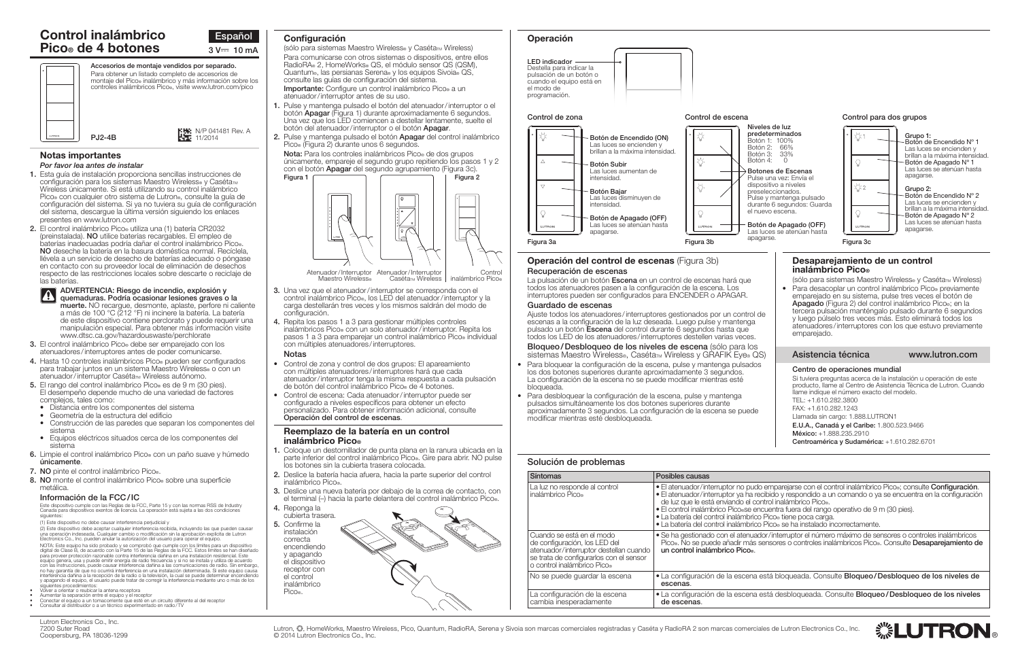

# Solución de problemas

| <b>Síntomas</b>                                                                                                                                                                | Posibles causas                                                                                                                                                                                                                 |
|--------------------------------------------------------------------------------------------------------------------------------------------------------------------------------|---------------------------------------------------------------------------------------------------------------------------------------------------------------------------------------------------------------------------------|
| La luz no responde al control<br>inalámbrico Pico®                                                                                                                             | • El atenuador/interruptor no pud<br>· El atenuador/interruptor ya ha i<br>de luz que le está enviando el c<br>• El control inalámbrico Pico.se e<br>• La batería del control inalámbrio<br>• La batería del control inalámbrio |
| Cuando se está en el modo<br>de configuración, los LED del<br>atenuador/interruptor destellan cuando<br>se trata de configurarlos con el sensor<br>o control inalámbrico Pico. | • Se ha gestionado con el atenua<br>Pico No se puede añadir más<br>un control inalámbrico Pico.                                                                                                                                 |
| No se puede quardar la escena                                                                                                                                                  | • La configuración de la escena<br>escenas.                                                                                                                                                                                     |
| La configuración de la escena<br>cambia inesperadamente                                                                                                                        | • La configuración de la escena<br>de escenas.                                                                                                                                                                                  |

#### ADVERTENCIA: Riesgo de incendio, explosión v  $|\mathbf{A}|$ quemaduras. Podría ocasionar lesiones graves o la

#### Notas importantes *Por favor lea antes de instalar*

- 1. Esta guía de instalación proporciona sencillas instrucciones de configuración para los sistemas Maestro Wireless<sup>®</sup> y Caséta<sub>™</sub> Wireless únicamente. Si está utilizando su control inalámbrico Pico® con cualquier otro sistema de Lutron®, consulte la guía de configuración del sistema. Si ya no tuviera su guía de configuración del sistema, descargue la última versión siguiendo los enlaces presentes en www.lutron.com
- 2. El control inalámbrico Pico® utiliza una (1) batería CR2032 (preinstalada). NO utilice baterías recargables. El empleo de baterías inadecuadas podría dañar el control inalámbrico Pico®. NO deseche la batería en la basura doméstica normal. Recíclela, llévela a un servicio de desecho de baterías adecuado o póngase en contacto con su proveedor local de eliminación de desechos respecto de las restricciones locales sobre descarte o reciclaje de las baterías.

# Control inalámbrico **Pico® de 4 botones**  $3 \text{ V} = 10 \text{ mA}$

(sólo para sistemas Maestro Wireless® y Caséta™ Wireless) Para comunicarse con otros sistemas o dispositivos, entre ellos RadioRA® 2, HomeWorks® QS, el módulo sensor QS (QSM), Quantum®, las persianas Serena® y los equipos Sivoia® QS, consulte las guías de configuración del sistema. Importante: Configure un control inalámbrico Pico® a un atenuador/interruptor antes de su uso.

- 1. Pulse y mantenga pulsado el botón del atenuador/interruptor o el botón Apagar (Figura 1) durante aproximadamente 6 segundos. Una vez que los LED comiencen a destellar lentamente, suelte el botón del atenuador/interruptor o el botón Apagar.
- 2. Pulse y mantenga pulsado el botón Apagar del control inalámbrico Pico® (Figura 2) durante unos 6 segundos. Nota: Para los controles inalámbricos Pico® de dos grupos

únicamente, empareje el segundo grupo repitiendo los pasos 1 y 2 con el botón **Apagar** del segundo agrupamiento (Figura 3c).

muerte. NO recargue, desmonte, aplaste, perfore ni caliente a más de 100 °C (212 °F) ni incinere la batería. La batería de este dispositivo contiene perclorato y puede requerir una manipulación especial. Para obtener más información visite <www.dtsc.ca.gov/hazardouswaste/perchlorate>

- 3. Una vez que el atenuador/interruptor se corresponda con el control inalámbrico Pico®, los LED del atenuador/interruptor y la carga destellarán tres veces y los mismos saldrán del modo de configuración.
- 4. Repita los pasos 1 a 3 para gestionar múltiples controles inalámbricos Pico® con un solo atenuador/interruptor. Repita los pasos 1 a 3 para emparejar un control inalámbrico Pico® individual con múltiples atenuadores/interruptores.
- 3. El control inalámbrico Pico® debe ser emparejado con los atenuadores /interruptores antes de poder comunicarse.
- 4. Hasta 10 controles inalámbricos Pico® pueden ser configurados para trabajar juntos en un sistema Maestro Wireless<sup>®</sup> o con un atenuador/interruptor Caséta™ Wireless autónomo.
- 5. El rango del control inalámbrico Pico® es de 9 m (30 pies). El desempeño depende mucho de una variedad de factores complejos, tales como:
	- Distancia entre los componentes del sistema
	-
	- Construcción de las paredes que separan los componentes del
- sistema Equipos eléctricos situados cerca de los componentes del sistema
- 6. Limpie el control inalámbrico Pico<sup>®</sup> con un paño suave y húmedo únicamente.
- 7. NO pinte el control inalámbrico Pico.
- 8. NO monte el control inalámbrico Pico® sobre una superficie metálica.

Atenuador/Interruptor Atenuador/Interruptor Maestro Wireless® Caséta<sub>™</sub> Wireless Control inalámbrico Pico®

Este dispositivo cumple con las Reglas de la FCC, Parte 15 y con las normas RSS de Industry Canada para dispositivos exentos de licencia. La operación está sujeta a las dos condiciones siguientes





# Configuración Operación

La pulsación de un botón Escena en un control de escenas hará que todos los atenuadores pasen a la configuración de la escena. Los interruptores pueden ser configurados para ENCENDER o APAGAR.

#### Notas

- Control de zona y control de dos grupos: El apareamiento con múltiples atenuadores /interruptores hará que cada atenuador/interruptor tenga la misma respuesta a cada pulsación de botón del control inalámbrico Pico® de 4 botones.
- Control de escena: Cada atenuador/interruptor puede ser configurado a niveles específicos para obtener un efecto personalizado. Para obtener información adicional, consulte Operación del control de escenas.
- Para bloquear la configuración de la escena, pulse y mantenga pulsados los dos botones superiores durante aproximadamente 3 segundos. La configuración de la escena no se puede modificar mientras esté bloqueada.
- Para desbloquear la configuración de la escena, pulse y mantenga pulsados simultáneamente los dos botones superiores durante aproximadamente 3 segundos. La configuración de la escena se pue modificar mientras esté desbloqueada.

### Reemplazo de la batería en un control inalámbrico Pico®

- 1. Coloque un destornillador de punta plana en la ranura ubicada en la parte inferior del control inalámbrico Pico®. Gire para abrir. NO pulse los botones sin la cubierta trasera colocada.
- 2. Deslice la batería hacia afuera, hacia la parte superior del control inalámbrico Pico®.
- 3. Deslice una nueva batería por debajo de la correa de contacto, con el terminal (–) hacia la parte delantera del control inalámbrico Pico®.
- 4. Reponga la cubierta trasera.

5. Confirme la instalación correcta encendiendo y apagando el dispositivo receptor con el control inalámbrico Pico®.







#### Control para dos grupos

Grupo 1:

Botón de Encendido Nº 1

N/P 041481 Rev. A 11/2014

# Información de la FCC/IC

(1) Este dispositivo no debe causar interferencia perjudicial y

(2) Este dispositivo debe aceptar cualquier interferencia recibida, incluyendo las que pueden causar una operación indeseada. Cualquier cambio o modificación sin la aprobación explícita de Lutron Electronics Co., Inc. pueden anular la autorización del usuario para operar el equipo. NOTA: Este equipo ha sido probado y se comprobó que cumple con los límites para un dispositivo<br>digital de Clase B, de acuerdo con la Parte 15 de las Reglas de la FCC. Estos límites se han diseñado<br>para proveer protección r interferencia dañina a la recepción de la radio o la televisión, la cual se puede determinar encendiendo y apagando el equipo, el usuario puede tratar de corregir la interferencia mediante uno o más de los

- 
- siguientes procedimientos:<br>Volver a orientar o reubicar la antena receptora<br>Aumentar la separación entre el equipo y el receptor<br>Conectar el equipo a un tomacorriente que esté en un circuito diferente al del receptor<br>Consu
- 

| Botón 2:<br>Botón 3:<br>Botón 4:<br>preseleccionados.<br>el nuevo escena.<br>apagarse. | 66%<br>33%<br>$\bigcap$<br><b>Botones de Escenas</b><br>Pulse una vez: Envía el<br>dispositivo a niveles<br>Pulse y mantenga pulsado<br>durante 6 segundos: Guarda<br>Botón de Apagado (OFF)<br>Las luces se atenúan hasta                                                                                                                                                                                                                                                                                 | Ω<br><u>☆</u> 2<br>Ω<br>LUTRON<br>Figura 3c | Las luces se encienden y<br>brillan a la máxima intensidad.<br>Botón de Apagado Nº 1<br>Las luces se atenúan hasta<br>apagarse.<br>Grupo 2:<br>Botón de Encendido Nº 2<br>Las luces se encienden y<br>brillan a la máxima intensidad.<br>Botón de Apagado Nº 2<br>Las luces se atenúan hasta<br>apagarse. |
|----------------------------------------------------------------------------------------|------------------------------------------------------------------------------------------------------------------------------------------------------------------------------------------------------------------------------------------------------------------------------------------------------------------------------------------------------------------------------------------------------------------------------------------------------------------------------------------------------------|---------------------------------------------|-----------------------------------------------------------------------------------------------------------------------------------------------------------------------------------------------------------------------------------------------------------------------------------------------------------|
| e<br>rol de<br>ga<br>ЭS.                                                               | Desaparejamiento de un control<br>inalámbrico Pico®<br>(sólo para sistemas Maestro Wireless® y Caséta™ Wireless)<br>Para desacoplar un control inalámbrico Pico® previamente<br>emparejado en su sistema, pulse tres veces el botón de<br><b>Apagado</b> (Figura 2) del control inalámbrico Pico., en la<br>tercera pulsación manténgalo pulsado durante 6 segundos<br>y luego púlselo tres veces más. Esto eliminará todos los<br>atenuadores/interruptores con los que estuvo previamente<br>emparejado. |                                             |                                                                                                                                                                                                                                                                                                           |
| los<br>® QS)                                                                           | Asistencia técnica                                                                                                                                                                                                                                                                                                                                                                                                                                                                                         |                                             | www.lutron.com                                                                                                                                                                                                                                                                                            |
| ados<br>ede                                                                            | Centro de operaciones mundial<br>llame indique el número exacto del modelo.<br>TEL: +1.610.282.3800<br>FAX: +1.610.282.1243<br>Llamada sin cargo: 1.888.LUTRON1<br>E.U.A., Canadá y el Caribe: 1.800.523.9466                                                                                                                                                                                                                                                                                              |                                             | Si tuviera preguntas acerca de la instalación u operación de este<br>producto, llame al Centro de Asistencia Técnica de Lutron. Cuando                                                                                                                                                                    |



México: +1.888.235.2910 Centroamérica y Sudamérica: +1.610.282.6701

udo emparejarse con el control inalámbrico Pico®; consulte **Configuración.**<br>a recibido y respondido a un comando o ya se encuentra en la configuración

l control inalámbrico Pico».<br>? encuentra fuera del rango operativo de 9 m (30 pies).<br>rico Pico» tiene poca carga.<br>rico Pico» se ha instalado incorrectamente.

uador/interruptor el número máximo de sensores o controles inalámbricos ás sensores o controles inalámbricos Pico®. Consulte **Desaparejamiento de** 

na está bloqueada. Consulte **Bloqueo/Desbloqueo de los niveles de** 

na está desbloqueada. Consulte **Bloqueo/Desbloqueo de los niveles** 

▒LUTRO

# Operación del control de escenas (Figura 3b) Recuperación de escenas

### Guardado de escenas

Ajuste todos los atenuadores/interruptores gestionados por un control escenas a la configuración de la luz deseada. Luego pulse y mantenga pulsado un botón Escena del control durante 6 segundos hasta que todos los LED de los atenuadores/interruptores destellen varias vece

Bloqueo/Desbloqueo de los niveles de escena (sólo para l sistemas Maestro Wireless®, Caséta<sub>™</sub> Wireless y GRAFIK Eye®